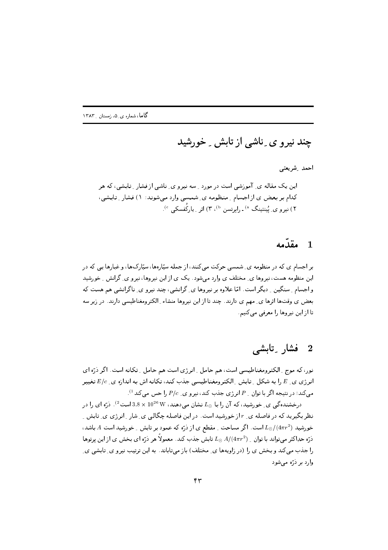چند نیرو ی ِ ناشی از تابش ِ خورشید

احمد رشريعتي

این یک مقاله ی آموزشی است در مورد رسه نیرو ی ناشی از فشار رتابشی، که هر کدام بر بعض ی از اجسام ِ منظومه ی ِ شمسی وارد می شوند: ١) فشار ِ تابشی، ۲) نیرو ی پیُنتینگ <sup>۵)</sup> ـ رابرتسن <sup>b)</sup>، ۳) اثر <sub>به </sub>یارکُفسکی <sup>e)</sup>.

### مقدّمه  $\mathbf{1}$

یر اجسام ی که در منظومه ی شمسی حرکت می کنند، از جمله سپّارهها، سپّارکها، و غیارها یی که در این منظومه هست، نیروها ی ِ مختلف ی وارد می شود. یک ی از این نیروها، نیرو ی ِ گرانش ِ خورشید و اجسام ِ سنگین ِ دیگر است. امّا علاوه بر نیروها ی ِ گرانشی، چند نیرو ی ِ ناگرانشی هم هست که بعض ی وقتها اثرها ی ِ مهم ی دارند. چند تا از این نیروها منشاء ِ الکترومغناطیسی دارند. در زیر سه تا از این نیروها را معرفی می کنیم.

### فشار ئابشى  $\overline{\bf 2}$

نور، که موج ِ الکترومغناطیسی است، هم حامل ِ انرژی است هم حامل ِ تکانه است. اگر دُرّه ای انرژی ی ـ E را به شکل ـ تابش ـ الکترومغناطیسی جذب کند، تکانه اش به اندازه ی ـ E/c تغییر می کند؛ در نتیجه اگر با توان <sub>-</sub> P انرژی جذب کند، نیرو ی *ـ P/c* را حس می کند<sup>1)</sup>.

درخشندهگی ی ِ خورشید، که آن را با  $L_{\odot}$  نشان می دهند،  $10^{26}\,\rm{W}$  است $^{(2)}$ . ذرّه ای را در نظر بگیرید که در فاصله ی ِ r از خورشید است. در این فاصله چگالبی ی ِ شار ِ انرژی ی ِ تابش ِ ِ خورشید (2 $L_{\odot}/(4\pi r^2)$  است. اگر مساحت ِ مقطع ی از ذرّه که عمود بر تابش ِ خورشید است A باشد، ذرّہ حدِاکثر می تواند یا توان  $L_{\odot}\,A/(4\pi r^2)$  تابش جذب کند. معمولاً هر ذرّہ ای بخش ی از این پرتوها را جذب می کند و بخش ی را (در زاویهها ی ِ مختلف) باز میتاباند. به این ترتیب نیرو ی ِ تابشی ی ِ وارد پر دُرّہ مے شود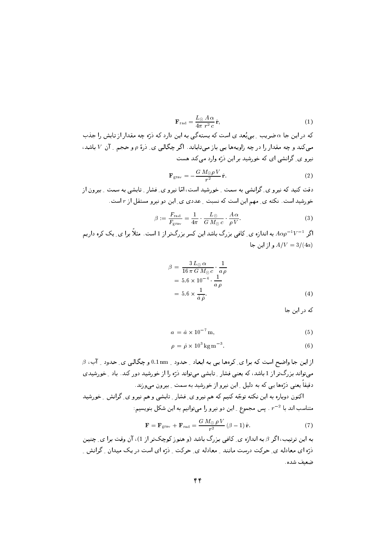$$
\mathbf{F}_{\rm rad} = \frac{L_{\odot} A \alpha}{4\pi r^2 c} \hat{\mathbf{r}},\tag{1}
$$

که در این جا  $\alpha$  ضریب ِ پی ِنُعد ی است که پستهگی به این دارد که ذرّه چه مقدار از تابش را جذب می کند و چه مقدار را در چه زاویهها یی باز می تاباند. اگر چگالی ی ِ دْرة p و حجم \_ آن V باشد، نیرو ی گرانشی ای که خورشید بر این درّه وارد میکند هست

$$
\mathbf{F}_{\text{grav}} = -\frac{G M_{\odot} \rho V}{r^2} \hat{\mathbf{r}}.
$$
 (2)

دقت کنید که نیرو ی ِ گرانشی به سمت ِ خورشید است، امّا نیرو ی ِ فشار ِ تابشی به سمت ِ بیرون از خورشید است. نکته ی ِ مهم این است که نسبت ِ عددی ی ِ این دو نیرو مستقل از r است.

$$
\beta := \frac{F_{\text{rad}}}{F_{\text{grav}}} = \frac{1}{4\pi} \cdot \frac{L_{\odot}}{G M_{\odot} c} \cdot \frac{A \alpha}{\rho V}.
$$
\n(3)

اگر  $V^{-1}V^{-1}$  به اندازه ی ِ کافی بزرگ باشد این کسر بزرگتر از 1 است. مثلاً برا ی ِ یک کره داریم و از این جا $A/V = 3/(4a)$ 

$$
\beta = \frac{3 L_{\odot} \alpha}{16 \pi G M_{\odot} c} \cdot \frac{1}{a \rho}
$$
  
= 5.6 \times 10^{-4} \cdot \frac{1}{a \rho}  
= 5.6 \times \frac{1}{\hat{a} \hat{\rho}}. (4)

که در این جا

$$
a = \hat{a} \times 10^{-7} \,\mathrm{m},\tag{5}
$$

$$
\rho = \hat{\rho} \times 10^3 \,\mathrm{kg\,m}^{-3}.\tag{6}
$$

 $\beta$  از این جا واضح است که برا ی ِ کرهها یی به ابعاد ِ حدود ِ 1nm و چگالبی ی ِ حدود ِ آب،  $\beta$ می تواند بزرگ تر از 1 باشد، که یعنی فشار ِ تابشی می تواند ذرّه را از خورشید دور کند. باد ِ خورشیدی دقیقا یعنی ذرَّهها یی که به دلیل ِ این نیرو از خورشید به سمت ِ بیرون میوزند.

اکنون دوباره به این نکته توجّه کنیم که هم نیرو ی ِ فشار ِ تابشی و هم نیرو ی ِ گرانش ِ خورشید متناسب اند با  $r^{-2}$  . پس مجموع ِ این دو نیرو را میتوانیم به این شکل بنویسیم:

$$
\mathbf{F} = \mathbf{F}_{\text{grav}} + \mathbf{F}_{\text{rad}} = \frac{G M_{\odot} \rho V}{r^2} (\beta - 1) \hat{\mathbf{r}}.
$$
 (7)

به این ترتیب، اگر 8 به اندازه ی ِ کافی بزرگ باشد (و هنوز کوچکتر از 1)، آن وقت برا ی ِ چنین ذرّہ ای معادله ی ِ حرکت درست مانند ِ معادله ی ِ حرکت ِ ذرّہ ای است در یک میدان ِ گرانش ِ ضعيف شده.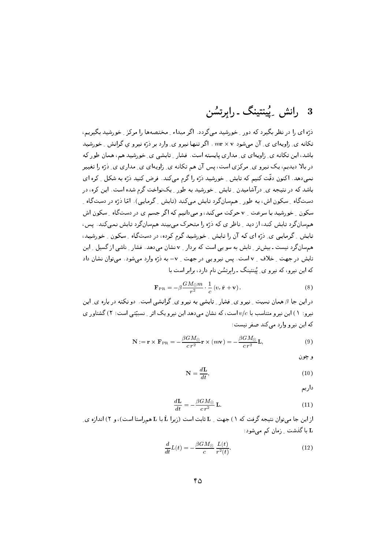ذرّہ ای را در نظر بگیرد که دور \_خورشید می گردد. اگر میداء \_ مختصهها را مرکز \_خورشید بگیریم، تکانه ی ِ زاویهای ی ِ آن می شود mr × v . اگر تنها نیرو ی ِ وارد بر ذرّه نیرو ی گرانش ِ خورشید باشد، این تکانه ی ِ زاویهای ی ِ مداری پایسته است. فشار ِ تابشی ی ِ خورشید هم، همان طور که در بالا دیدیم، یک نیرو ی ِ مرکزی است، پس آن هم تکانه ی ِ زاویهای ی ِ مداری ی ِ دْرَّه را تغییر تمی،دهد. اکنون دقّت کنیم که تابش ِ خورشید درّه را گرم می کند. فرض کنید درّه به شکل ِ کره ای باشد که در نتیجه ی ِ در آشامیدن ِ تابش ِ خورشید به طور ِ یکنواخت گرم شده است. این کره، در دستگاه ِ سکون اش، به طور ِ همسانگرد تابش میکند (تابش ِ گرمایی). امّا ذرّه در دستگاه ِ سکون \_ خورشید با سرعت \_ v حرکت می کند، و می دانیم که اگر جسم ی در دستگاه \_ سکون اش همسانگرد تابش کند، از دید ِ ناظر ی که ذرّه را متحرک میبیند همسانگرد تابش نمیکند. پس، تابش که مایی ی درّه ای که آن را تابش خورشید گرم کرده، در دستگاه مسکون عورشید، همسان گرد نیست ـ بیش تر ِ تابش به سو یی است که بردار ِ v نشان می دهد. فشار ِ ناشی از گسیل ِ این تابش در جهت \_ خلاف \_ v است. يس نيرو يبي در جهت \_ v- به ذرّه وارد ميشود . مي توان نشان داد که این نیرو، که نیرو ی ِ یُبنتینگ ـ رابرتسُن نام دارد، برابر است با

$$
\mathbf{F}_{\mathrm{PR}} = -\beta \frac{GM_{\odot}m}{r^2} \cdot \frac{1}{c} \left(v_r \hat{\mathbf{r}} + \mathbf{v}\right).
$$
 (8)

در این جا 8 همان نسبت <sub>-</sub> نیرو ی ِ فشار <sub>-</sub> تابشی به نیرو ی ِ گرانشی است. دو نکته در باره ی ِ این نیرو: ۱) این نیرو متناسب با  $v/c$  است، که نشان می دهد این نیرو یک اثر ۳ نسبیّتی است؛ ۲) گشتاور ی که این نیرو وارد می کند صفر نیست:

$$
\mathbf{N} := \mathbf{r} \times \mathbf{F}_{PR} = -\frac{\beta G M_{\odot}}{c r^2} \mathbf{r} \times (m \mathbf{v}) = -\frac{\beta G M_{\odot}}{c r^2} \mathbf{L},\tag{9}
$$

و چون

$$
N = \frac{dL}{dt},\tag{10}
$$

داريم

$$
\frac{d\mathbf{L}}{dt} = -\frac{\beta GM_{\odot}}{c r^2} \mathbf{L}.
$$
\n(11)

از این جا می توان نتیجه گرفت که ۱) جهت ِ L ثابت است (زیرا L با L همراستا است)، و ۲) اندازه ی ِ L با گذشت <sub>-</sub> زمان کم می شود:

$$
\frac{d}{dt}L(t) = -\frac{\beta GM_{\odot}}{c} \frac{L(t)}{r^2(t)}.\tag{12}
$$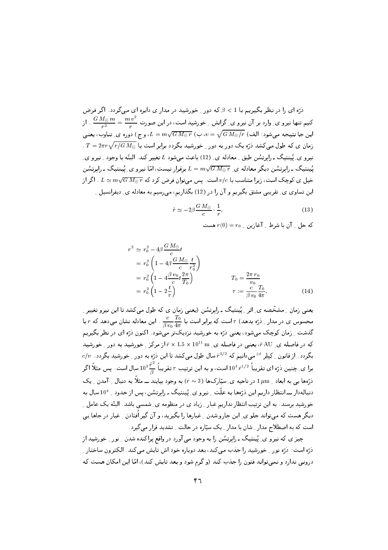.<br>ذرّه ای را در نظر بگیریم با 1 > *β ک*ه دور <sub>-</sub> خورشید در مدار ی دایره ای مے گردد. اگر فرض کنیم تنها نیرو ی ِ وارد بر آن نیرو ی ِ گرانش ِ خورشید است، در این صورت  $\frac{m\, v^2}{r^2}=\frac{m\, v^2}{r}$  . از این جا نتیجه می،شود: الف)  $U = \sqrt{G \, M_\odot / r} \, \left( \frac{\omega}{\nu} \right) = 1$ ، و ج $\omega$  دوره ی ِ تناوب، یعنی . دمان ی که طول می کشد درّه یک دور به دور ِ خورشید بگردد برابر است با  $T=2\pi r\sqrt{r/G\,M_\odot}$  . نيرو ي پُينتيگ ـ رايرتشن طبق \_معادله ي\_ (12) باعث مے شود L تغيير كند. البتّه يا وجود \_ نيرو ي\_ یُبنتیگ ـ رابرتِسُن دیگر معادله ی ـ  $\overline{K} = m \sqrt{G\,M_\odot\,r}$  برقرار نیست، امّا نیرو ی ِ یُبنتیگ ـ رابرتِسُن خیل ی کوچک است، زیرا متناسب با  $v/c$  است. پس میتوان فرض کرد که  $\sqrt{GM_\odot\,r}$   $\simeq 1$  . اگر از این تساوی ی ِ تقریبی مشتق بگیریم و آن را در (12) بگذاریم، میرسیم به معادله ی ِ دیفرانسیل ِ

$$
\dot{r} \simeq -2\beta \frac{GM_{\odot}}{c} \cdot \frac{1}{r},\tag{13}
$$

 $r(0) = r_0$  که حل آن با شرط آغازین که  $r(0) = r_0$ 

$$
r^{2} \simeq r_{0}^{2} - 4\beta \frac{GM_{\odot}}{c}t
$$
  
=  $r_{0}^{2} \left(1 - 4\beta \frac{GM_{\odot}}{c} \frac{t}{r_{0}^{2}}\right)$   
=  $r_{0}^{2} \left(1 - 4\frac{\beta v_{0}}{c} t \frac{2\pi}{T_{0}}\right)$   
=  $r_{0}^{2} \left(1 - 2\frac{t}{\tau}\right)$   

$$
T_{0} = \frac{2\pi r_{0}}{v_{0}}
$$
  

$$
\tau := \frac{c}{\beta v_{0}} \frac{T_{0}}{4\pi}.
$$
 (14)

یعنبی زمان \_ مشخّصه ي\_ اثر \_ پُينتيگ ــ رابرتِشْن (يعنبي زمان ي كه طول ميكشد تا اين نيرو تغيير \_ محسوس ی در مدار ِ ذرّہ بدھد)  $\tau$  است که برابر است با  $\frac{r_0}{4\pi}\frac{T_0}{4\pi}$  . این معادله نشان میدھد که  $r$  با گذشت <sub>- ن</sub>مان کوچک می شود، یعنی درّه به خورشید نزدیکتر می شود . اکنون درّه ای در نظر بگیریم که در فاصله ی ِ AU ، یعنی در فاصله ی ِ m 10 × 1.5 × 1.5 × 10 از مرکز ِ خورشید به دور ِ خورشید  $c/v$  بگردد. از قانون \_ کِیلِر <sup>d)</sup> میدانیم که  $\hat{r}^{3/2}$  سال طول میکشد تا این ذرّه به دور \_ خورشید بگردد. برا ی ِ چنین ذرّہ ای تقریباً  $\hat{r}^{1/2}$  است، و به این ترتیب  $\tau$  تقریباً  $\frac{\hat{r}^2}{\beta}$  سال است. پس مثلاً اگر ذرَّهها یبی به ابعاد 1µm در ناحیه ی ِ سیّارکها (3 ~ ۴) به وجود بیایند ـــ مثلاً به دنبال ِ آمدن ِ یک دنبالهدار ـــ انتظار داریم این ذرَّهها به علَّت ِ نیرو ی ِ یُینتیگ ـ رابرتسُن، پس از حدود ِ 10<sup>4</sup> سال به خورشید برسند. به این ترتیب انتظار نداریم غبار ِ زیاد ی در منظومه ی ِ شمسی باشد. البتّه یک عامل ِ ِ دیگر هست که میتواند جلو ی ِ این جارو شدن ِ غبارها را بگیرید، و آن گیر اُفتادن ِ غبار در جاها یی است که به اصطلاح مدار ِ شان با مدار ِ یک سیّاره در حالت ِ تشدید قرار میگیرد.

چیز ی که نیرو ی ِ یُینتیگ ـ رابرتشُن را به وجود می آورد در واقع پراکنده شدن ِ نور ِ خورشید از ذرّه است: ذرّه نور \_ خورشید را جذب میکند، بعد دوباره خود اش تابش میکند. الکترون ساختار \_ درونبی ندارد و نمیتواند فتون را جذب کند (و گرم شود و بعد تابش کند)، امّا این امکان هست که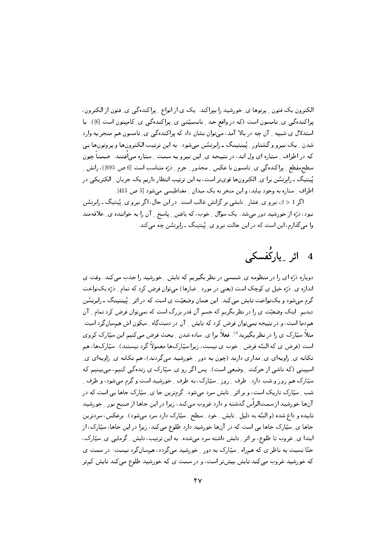الکترون یک فتون <sub>-</sub> پرتوها ی ِ خورشید را بپراکند. یک ی از انواع <sub>-</sub> پراکندهگی ی ِ فتون از الکترون، یراکندهگی ی ِ تامسون است (که در واقع حد ِ نانسبیّتی ی ِ پراکندهگی ی ِ کامیتون است [6]). با استدلال ي شبيه \_ آن چه در بالا آمد، مي توان نشان داد كه پراكنده گي ي\_ تامسون هم منجر به وارد شدن ِ یک نیرو و گشتاور ِ پُینتینگ ـ رابرتسُن میشود. به این ترتیب الکترونها و پروتونها یی که در اطراف ِ ستاره ای ول اند، در نتیجه ی ِ این نیرو به سمت ِ ستاره میاُفتند. ضمناً چون سطحمقطع ِ پراکندہگی ی ِ تامسون با عکس ِ مجذور ِ جرم ِ درّہ متناسب است [6 ص 695])، رانش ِ ِ .<br>پُیننتیگ ـ رابرتسُن برا ی ِ الکترونِها قویتر است، به این ترتیب انتظار داریم یک جریان ِ الکتریکی در اطراف ِ ستارہ به وجود بیاید، و این منجر به یک میدان ِ مغناطیسی میشود [5 ص 415].

اگر 1 < 6، نیرو ی ِ فشار ِ تابِشی بر گرانش غالب است. در این حال، اگر نیرو ی ِ پُینتیگ ـ رابرتسُن نبود، ذرّه از خورشید دور میشد. یک سؤال <sub>-</sub> خوب، که یافتن <sub>-</sub> پاسخ <sub>-</sub> آن را به خواننده ی<sub>-</sub> علاقهمند وا می گذارم، این است که در این حالت نیرو ی ِ پُینتینگ ـ رابرتشُن چه می کند.

# 4 اثر ِ پارکُفسکی

دوباره ذرّه ای را در منظومه ی ِ شمسی در نظر بگیریم که تابش ِ خورشید را جذب می کند. وقت ی اندازه ی ِ دُرّه خیل ی کوچک است (یعنی در مورد ِ غبارها) می توان فرض کرد که تمام ِ دُرّه یک نواخت گرم میشود و یکنواخت تابش میکند. این همان وضعیّت ی است که در اثر ِ یُبنتینگ ـ رابرتسُن دیدیم. اینک وضعیّت ی را در نظر بگریم که جسم آن قدر بزرگ است که نمیتوان فرض کرد تمام ِ آن هم‹ما است، و در نتیجه نمیتوان فرض کرد که تابش ِ ِ آن در دستگاه ِ سکون اش همسان گرد است. مثلاً سپّارک ی را در نظر بگیرید<sup>3</sup>). فعلاً برا ی ِ ساده شدن ِ بحث فرض میںکنیم این سپّارک کروی است (فرض ی که البتّه فرض ِ خوب ی نیست، زیرا سیّارکها معمولاً گرد نیستند). سیّارکها، هم تکانه ی ِ زاویهای ی ِ مداری دارند (چون به دور ِ خورشید میگردند)، هم تکانه ی ِ زاویهای ی ِ اسپینبی (که ناشی از حرکت ِ وضعی است). پس اگر رو ی ِ سپّارک ی زندهگی کنیم، می بینیم که سپّارک هم روز و شب دارد. طرف ِ ِ روز ِ ِ سپّارک، به طرف ِ ِ خورشید است و گرم میشود، و طرف ِ ِ شب ِ سپّارک تاریک است، و بر اثر ِ تابش سرد میشود. گرمترین جا ی ِ سپّارک جاها یی است که در آنها خورشید از سمتالراًس گذشته و دارد غروب میکند، زیرا در این جاها از صبح نور ِ خورشید تابیده و داغ شده (و البتّه به دلیل ِ تابش ِ خود ِ سطح ِ سیّارِک دارد سرد میشود). برعکس، سردترین جاها ی ِ سیّارک جاها یی است که در آنها خورشید دارد طلوع میکند، زیرا در این جاها، سیّارک، از ابتدا ی ِ غروب تا طلوع، بر اثر ِ تابش داشته سرد میشده. به این ترتیب، تابش ِ گرمایی ی ِ سیّارک، حتّا نسبت به ناظر ی که همراه ـ ِ سیّارک به دور \_ خورشید میگردد، همسانگرد نیست: در سمت ی که خورشید غروب میکند تابش بیشتر است، و در سمت ی که خورشید طلوع میکند تابش کمتر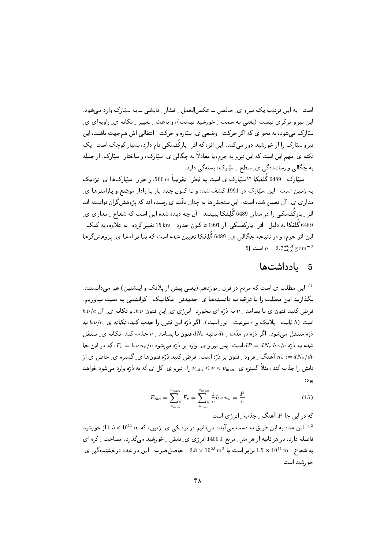است. به این ترتیب یک نیرو ی خالص ــ عکس العمل فشار - تابشی ــ به ستارک وارد می شود. این نیرو مرکزی نیست (یعنی به سمت -ِ خورشید نیست)، و باعث -ِ تغییر -ِ تکانه ی ِ زاویهای ی ِ سپّارک می شود، به نحو ی که اگر حرکت ِ وضعی ی ِ سپّاره و حرکت ِ انتقالی اش همجهت باشند، این نیرو سپّارک را از خورشید دور میکند. این اثر، که اثر ِ پارکُفسکی نام دارد، بسیار کوچک است. یک نکته ی ِ مهم این است که این نیرو به جرم، یا معادلاً به چگالبی ی ِ سپّارک، و ساختار ِ سپّارک، از جمله به چگالبی و رسانندهگی ی ِ سطح ِ ِ سیّارک، بستهگی دارد.

سیّا,ک <sub>-</sub> 6489 گُلِفکا <sup>e)</sup> سیّا,ک ی است به قطر <sub>-</sub> تقریباً m 500، و جزو <sub>-</sub> سیّارکها ی ِ نزدیک به زمین است. این سپّارک در 1991 کشف شد، و تا کنون چند بار با رادار موضع و پارامترها ی ِ مداری ی ِ آن تعیین شده است. این سنجشها به چنان دقّت ی رسیده اند که پژوهش گران توانسته اند اثر ِ پارکُفسکی را در مدارِ 6489 گُلِفکا بِبِینند. آن چه دیده شده این است که شعاع ِ مداری ی ِ 6489 گُلِفکا به دلیل <sub>۔</sub> اثر <sub>-</sub> یارکفسکی، از 1991 تا کنون حدود <sub>-</sub> 15 km تغییر کرده! به علاوه، به کمک <sub>-</sub> این اثر جرم، و در نتیجه چگالبی ی ِ 6489 گُلِفکا تعیین شده است که بنا بر ادعا ی ِ پژوهش گرها  $[5]$  است  $\rho = 2.7^{+0.4}_{-0.6} \text{ g cm}^{-3}$ 

#### بادداشتها  $\sqrt{5}$

<sup>1)</sup> این مطلب ی است که مردم در قرن <sub>-</sub> نوزدهم (یعنبی پیش از پلانک و اینشتین) هم مبیدانستند. بگذارید این مطلب را با توجّه به دانستهها ی ِ جدیدتر ِ مکانیک ِ کوانتمی به دست بیاوریم.  $h\,\nu/c$  فرض کنید فتون ی با بسامد  $\nu$  به ذرّه ای بخورد. انرژی ی ِ این فتون  $h\,\nu$ ، و تکانه ی ِ آن است (h ثابت \_ پلانک و c سرعت \_ نور است). اگر ذرّه این فتون را جذب کند، تکانه ی b v/c به  $dN_\nu$  ذرّه منتقل می شود . اگر ذرّه در مدّت <sub>بـ</sub>  $dt$  ثانیه  $dN_\nu$  فتون با بسامد بـ  $\nu$  جذب کند، تکانه ی $\Box$  منتقل شده به درّه  $dP = dN_{\nu}$   $h\,\nu/c$  است؛ پس نیرو ی ِ وارد بر درّه میشود  $F_{\nu} = h\,\nu\,n_{\nu}/c$ ، که در این جا آهنگ ِ فرود ِ فتون بر ذرّه است. فرض کنید ذرّه فتونها ی ِ گستره ی ِ خاص ی از  $n_\nu := dN_\nu/dt$ تابش را جذب کند، مثلاً گستره ی ِ  $\nu_{\rm min} \leq \nu \leq \nu_{\rm max}$  را. نیرو ی ِ کل ی که به ذرّه وارد میشود خواهد يود:

$$
F_{\rm rad} = \sum_{\nu_{\rm min}}^{\nu_{\rm max}} F_{\nu} = \sum_{\nu_{\rm min}}^{\nu_{\rm max}} \frac{1}{c} h \nu \, n_{\nu} = \frac{P}{c} \tag{15}
$$

که در این جا P آهنگ <sub>-</sub> جذب <sub>-</sub> انرژی است. این عدد به این طریق به دست می آید: میدانیم در نزدیکی ی ِ زمین، که  $10^{11} \text{ m} \times 10^{11}$ از خورشید  $^{(2)}$ فاصله دارد، در هر ثانیه از هر متر <sub>-</sub> مربع J 1400 انرژی ی ِ تابش <sub>-</sub> خورشید میگذرد . مساحت <sub>-</sub> کره ای به شعاع 11 × 10 برابر است با 2.8 × 10 $^{23}$  m  $\rm{^2}$  . حاصل ضرب 1 این دو عدد درخشنده گی ی خورشيد است.